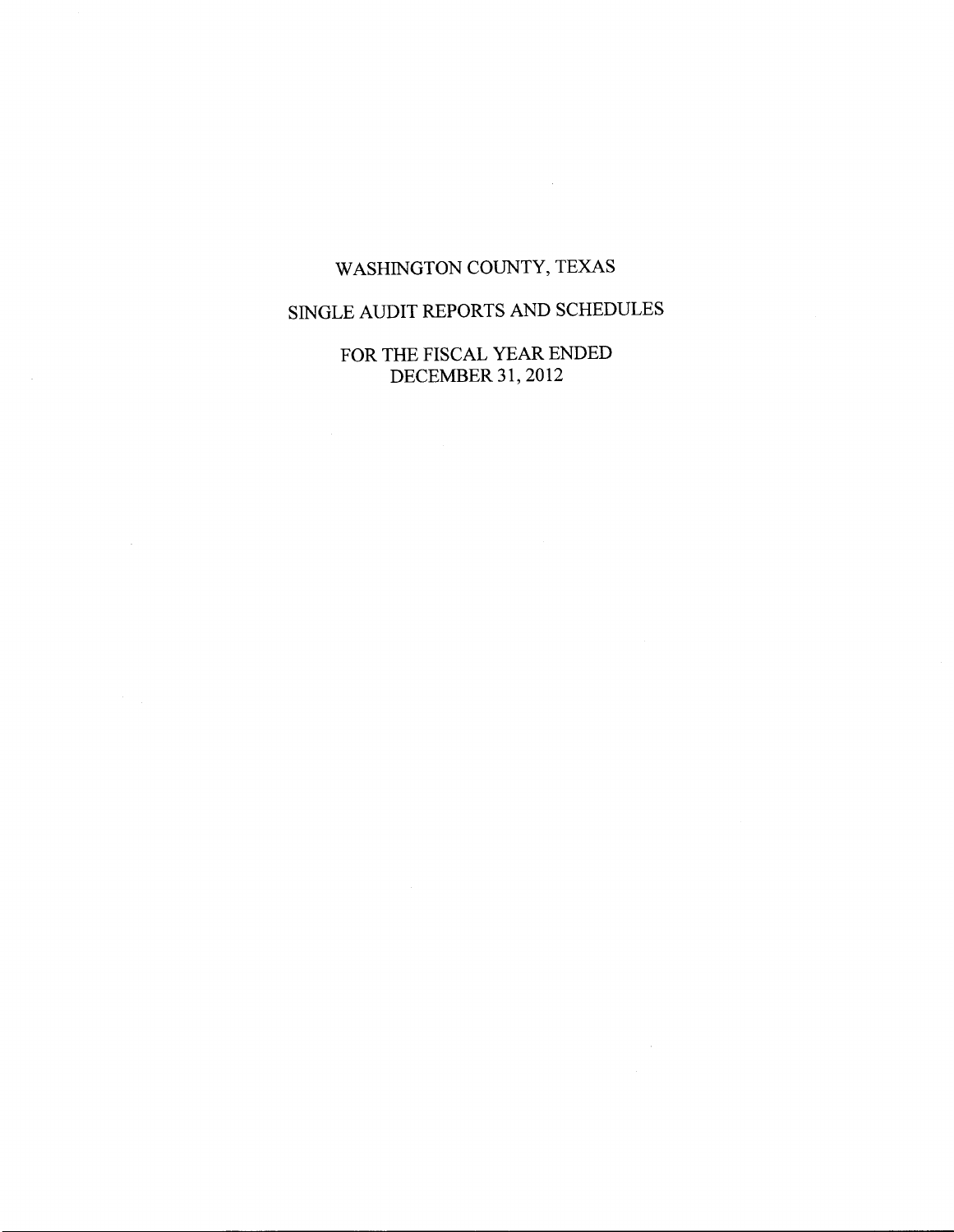# WASHINGTON COUNTY, TEXAS

 $\sim 10^{11}$  km s  $^{-1}$ 

# SINGLE AUDIT REPORTS AND SCHEDULES

FOR THE FISCAL YEAR ENDED DECEMBER 31,2012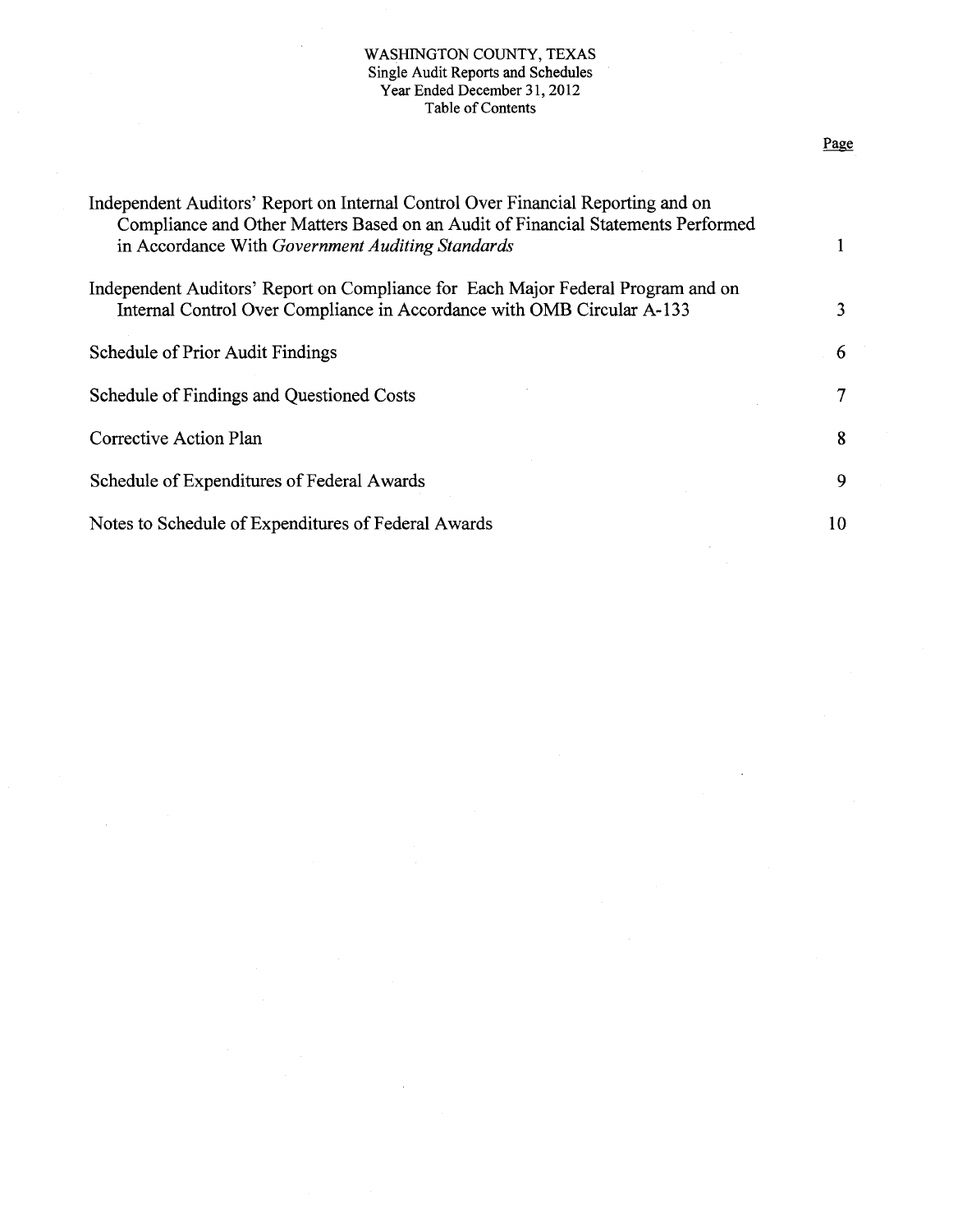#### WASHINGTON COUNTY, TEXAS Single Audit Reports and Schedules Year Ended December 31,2012 Table of Contents

# Page

| Independent Auditors' Report on Internal Control Over Financial Reporting and on<br>Compliance and Other Matters Based on an Audit of Financial Statements Performed<br>in Accordance With Government Auditing Standards |    |
|--------------------------------------------------------------------------------------------------------------------------------------------------------------------------------------------------------------------------|----|
| Independent Auditors' Report on Compliance for Each Major Federal Program and on<br>Internal Control Over Compliance in Accordance with OMB Circular A-133                                                               | 3  |
| Schedule of Prior Audit Findings                                                                                                                                                                                         | 6  |
| Schedule of Findings and Questioned Costs                                                                                                                                                                                | 7  |
| Corrective Action Plan                                                                                                                                                                                                   | 8  |
| Schedule of Expenditures of Federal Awards                                                                                                                                                                               | 9  |
| Notes to Schedule of Expenditures of Federal Awards                                                                                                                                                                      | 10 |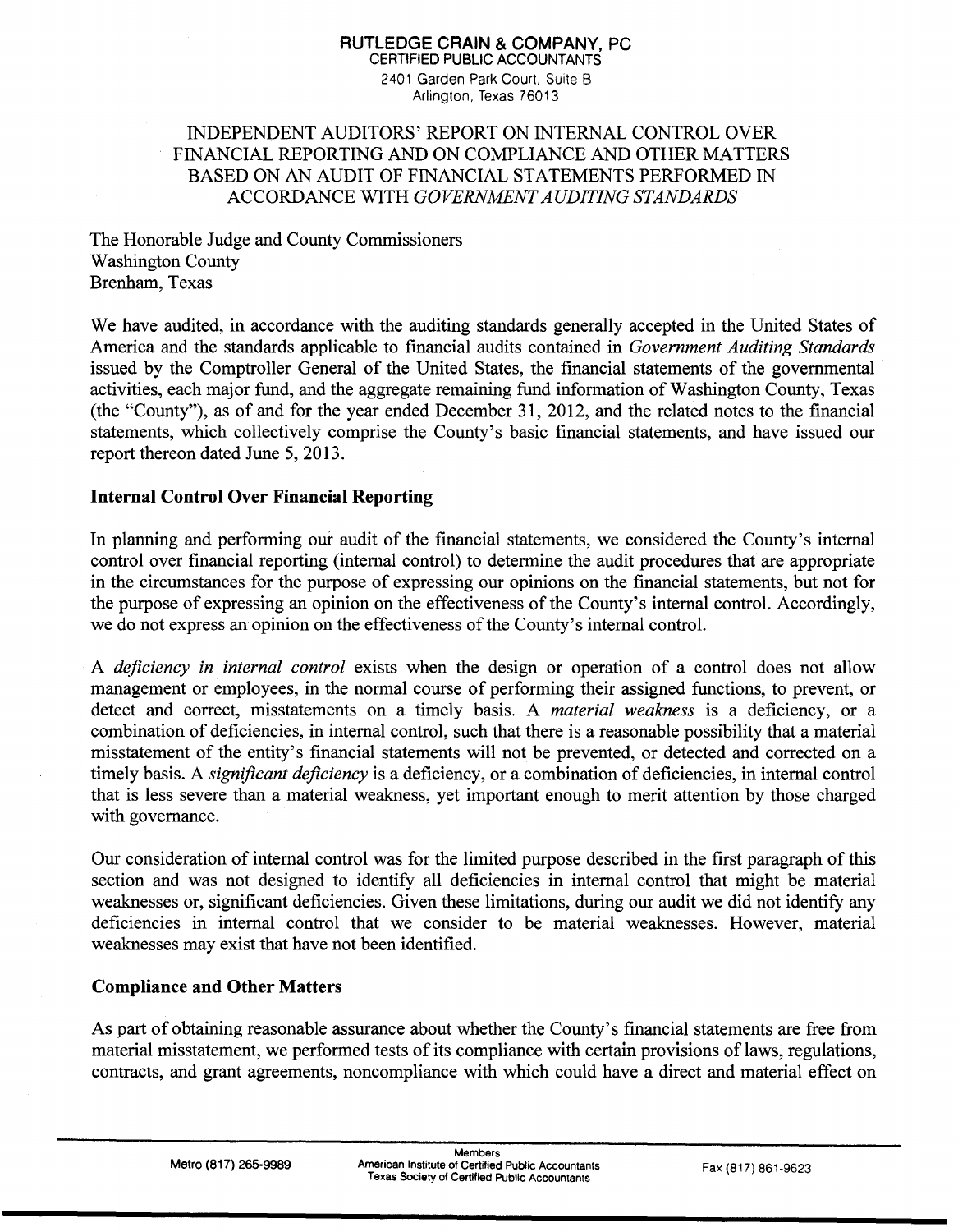#### **RUTLEDGE CRAIN & COMPANY, PC**  CERTIFIED PUBLIC ACCOUNTANTS

2401 Garden Park Court. Suite B Arlington, Texas 76013

# INDEPENDENT AUDITORS' REPORT ON INTERNAL CONTROL OVER FINANCIAL REPORTING AND ON COMPLIANCE AND OTHER MATTERS BASED ON AN AUDIT OF FINANCIAL STATEMENTS PERFORMED IN ACCORDANCE WITH *GOVERNMENT AUDITING STANDARDS*

The Honorable Judge and County Commissioners Washington County Brenham, Texas

We have audited, in accordance with the auditing standards generally accepted in the United States of America and the standards applicable to financial audits contained in *Government Auditing Standards*  issued by the Comptroller General of the United States, the financial statements of the governmental activities, each major fund, and the aggregate remaining fund information of Washington County, Texas (the "County"), as of and for the year ended December 31, 2012, and the related notes to the financial statements, which collectively comprise the County's basic financial statements, and have issued our report thereon dated June 5, 2013.

# **Internal Control Over Financial Reporting**

In planning and performing our audit of the financial statements, we considered the County's internal control over financial reporting (internal control) to determine the audit procedures that are appropriate in the circumstances for the purpose of expressing our opinions on the financial statements, but not for the purpose of expressing an opinion on the effectiveness of the County's internal control. Accordingly, we do not express an opinion on the effectiveness of the County's internal control.

A *deficiency in internal control* exists when the design or operation of a control does not allow management or employees, in the normal course of performing their assigned functions, to prevent, or detect and correct, misstatements on a timely basis. A *material weakness* is a deficiency, or a combination of deficiencies, in internal control, such that there is a reasonable possibility that a material misstatement of the entity's financial statements will not be prevented, or detected and corrected on a timely basis. A *significant deficiency* is a deficiency, or a combination of deficiencies, in internal control that is less severe than a material weakness, yet important enough to merit attention by those charged with governance.

Our consideration of internal control was for the limited purpose described in the first paragraph of this section and was not designed to identify all deficiencies in internal control that might be material weaknesses or, significant deficiencies. Given these limitations, during our audit we did not identify any deficiencies in internal control that we consider to be material weaknesses. However, material weaknesses may exist that have not been identified.

# **Compliance and Other Matters**

As part of obtaining reasonable assurance about whether the County's financial statements are free from material misstatement, we performed tests of its compliance with certain provisions of laws, regulations, contracts, and grant agreements, noncompliance with which could have a direct and material effect on

Metro (817) 265-9989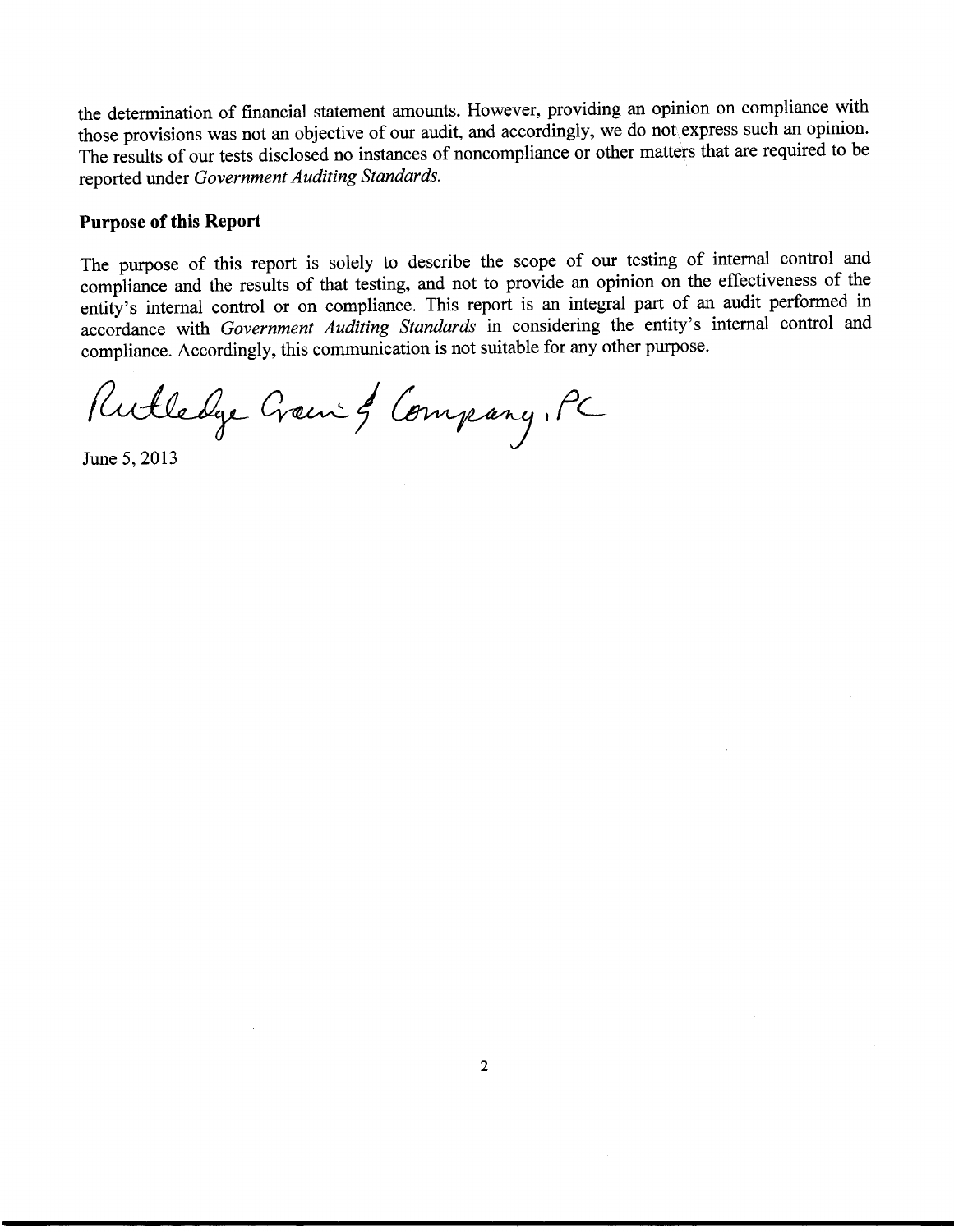the determination of financial statement amounts. However, providing an opinion on compliance with those provisions was not an objective of our audit, and accordingly, we do not express such an opinion. The results of our tests disclosed no instances of noncompliance or other matters that are required to be reported under *Government Auditing Standards.* 

### **Purpose of this Report**

The purpose of this report is solely to describe the scope of our testing of internal control and compliance and the results of that testing, and not to provide an opinion on the effectiveness of the entity's internal control or on compliance. This report is an integral part of an audit performed in accordance with *Government Auditing Standards* in considering the entity's internal control and compliance. Accordingly, this communication is not suitable for any other purpose.

Rutledge Green & Company, PC

June 5, 2013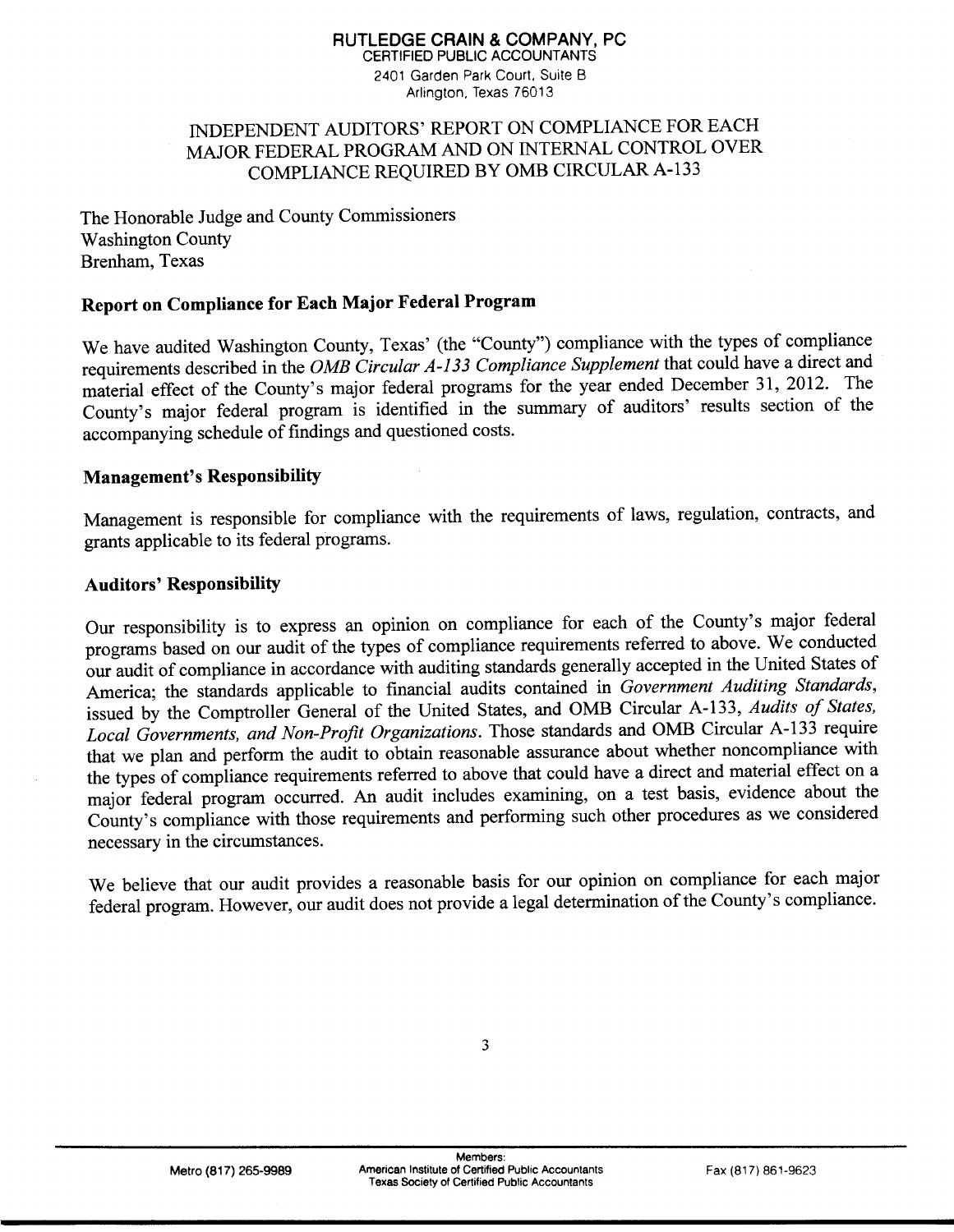## **RUTLEDGE CRAIN & COMPANY, PC**

CERTIFIED PUBLIC ACCOUNTANTS 2401 Garden Park Court. Suite B Arlington. Texas 76013

# INDEPENDENT AUDITORS' REPORT ON COMPLIANCE FOR EACH MAJOR FEDERAL PROGRAM AND ON INTERNAL CONTROL OVER COMPLIANCE REQUIRED BY OMB CIRCULAR A-133

The Honorable Judge and County Commissioners Washington County Brenham, Texas

# **Report on Compliance for Each Major Federal Program**

We have audited Washington County, Texas' (the "County") compliance with the types of compliance requirements described in the *OMB Circular A-i33 Compliance Supplement* that could have a direct and material effect of the County's major federal programs for the year ended December 31, 2012. The County's major federal program is identified in the summary of auditors' results section of the accompanying schedule of findings and questioned costs.

## **Management's Responsibility**

Management is responsible for compliance with the requirements of laws, regulation, contracts, and grants applicable to its federal programs.

# **Auditors' Responsibility**

Our responsibility is to express an opinion on compliance for each of the County's major federal programs based on our audit of the types of compliance requirements referred to above. We conducted our audit of compliance in accordance with auditing standards generally accepted in the United States of America; the standards applicable to financial audits contained in *Government Auditing Standards,*  issued by the Comptroller General of the United States, and OMB Circular A-133, *Audits of States, Local Governments, and Non-Profit Organizations.* Those standards and OMB Circular A-133 require that we plan and perform the audit to obtain reasonable assurance about whether noncompliance with the types of compliance requirements referred to above that could have a direct and material effect on a major federal program occurred. An audit includes examining, on a test basis, evidence about the County's compliance with those requirements and performing such other procedures as we considered necessary in the circumstances.

We believe that our audit provides a reasonable basis for our opinion on compliance for each major federal program. However, our audit does not provide a legal determination of the County's compliance.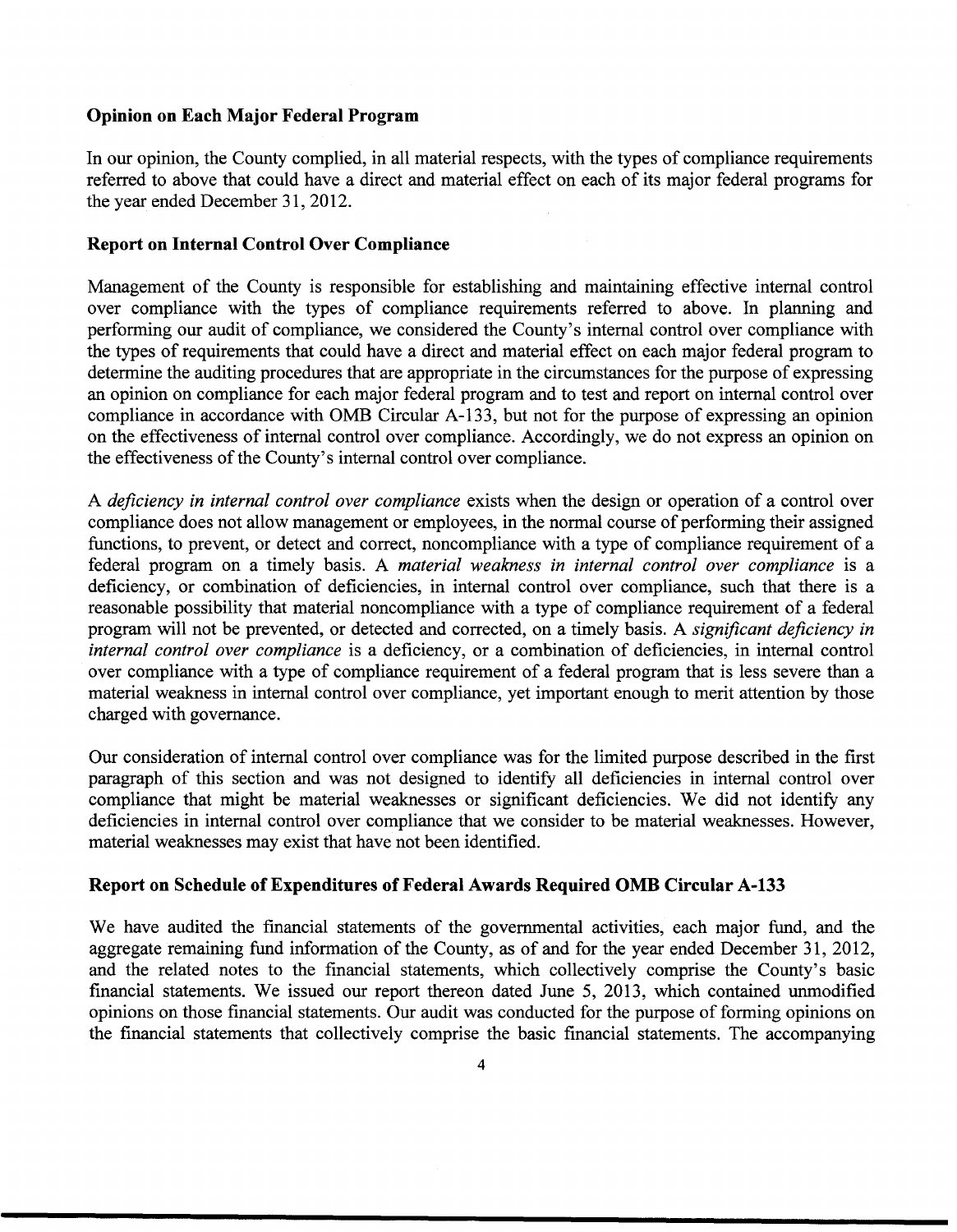## Opinion on Each Major Federal Program

In our opinion, the County complied, in all material respects, with the types of compliance requirements referred to above that could have a direct and material effect on each of its major federal programs for the year ended December 31, 2012.

## Report on Internal Control Over Compliance

Management of the County is responsible for establishing and maintaining effective internal control over compliance with the types of compliance requirements referred to above. In planning and performing our audit of compliance, we considered the County's internal control over compliance with the types of requirements that could have a direct and material effect on each major federal program to determine the auditing procedures that are appropriate in the circumstances for the purpose of expressing an opinion on compliance for each major federal program and to test and report on internal control over compliance in accordance with OMB Circular A-133, but not for the purpose of expressing an opinion on the effectiveness of internal control over compliance. Accordingly, we do not express an opinion on the effectiveness of the County's internal control over compliance.

A *deficiency in internal control over compliance* exists when the design or operation of a control over compliance does not allow management or employees, in the normal course of performing their assigned functions, to prevent, or detect and correct, noncompliance with a type of compliance requirement of a federal program on a timely basis. A *material weakness in internal control over compliance* is a deficiency, or combination of deficiencies, in internal control over compliance, such that there is a reasonable possibility that material noncompliance with a type of compliance requirement of a federal program will not be prevented, or detected and corrected, on a timely basis. A *significant deficiency in internal control over compliance* is a deficiency, or a combination of deficiencies, in internal control over compliance with a type of compliance requirement of a federal program that is less severe than a material weakness in internal control over compliance, yet important enough to merit attention by those charged with governance.

Our consideration of internal control over compliance was for the limited purpose described in the first paragraph of this section and was not designed to identify all deficiencies in internal control over compliance that might be material weaknesses or significant deficiencies. We did not identify any deficiencies in internal control over compliance that we consider to be material weaknesses. However, material weaknesses may exist that have not been identified.

## Report on Schedule of Expenditures of Federal Awards Required OMB Circular A-133

We have audited the financial statements of the governmental activities, each major fund, and the aggregate remaining fund information of the County, as of and for the year ended December 31, 2012, and the related notes to the financial statements, which collectively comprise the County's basic financial statements. We issued our report thereon dated June 5, 2013, which contained unmodified opinions on those financial statements. Our audit was conducted for the purpose of forming opinions on the financial statements that collectively comprise the basic financial statements. The accompanying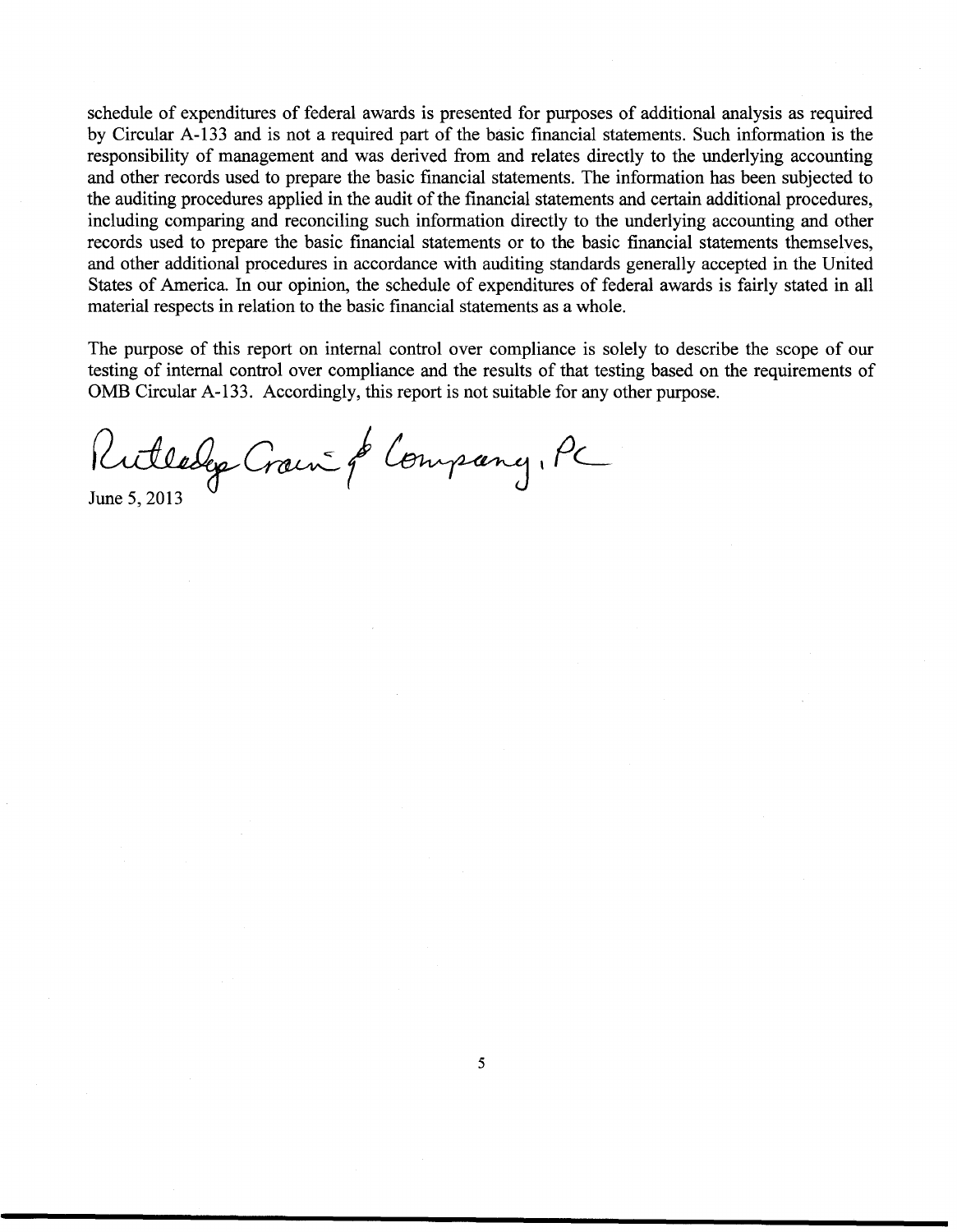schedule of expenditures of federal awards is presented for purposes of additional analysis as required by Circular A-133 and is not a required part of the basic financial statements. Such information is the responsibility of management and was derived from and relates directly to the underlying accounting and other records used to prepare the basic financial statements. The information has been subjected to the auditing procedures applied in the audit of the financial statements and certain additional procedures, including comparing and reconciling such information directly to the underlying accounting and other records used to prepare the basic financial statements or to the basic financial statements themselves, and other additional procedures in accordance with auditing standards generally accepted in the United States of America. In our opinion, the schedule of expenditures of federal awards is fairly stated in all material respects in relation to the basic financial statements as a whole.

The purpose of this report on internal control over compliance is solely to describe the scope of our testing of internal control over compliance and the results of that testing based on the requirements of OMB Circular A-133. Accordingly, this report is not suitable for any other purpose.

Rutledge Crain & Company, PC

June 5, 2013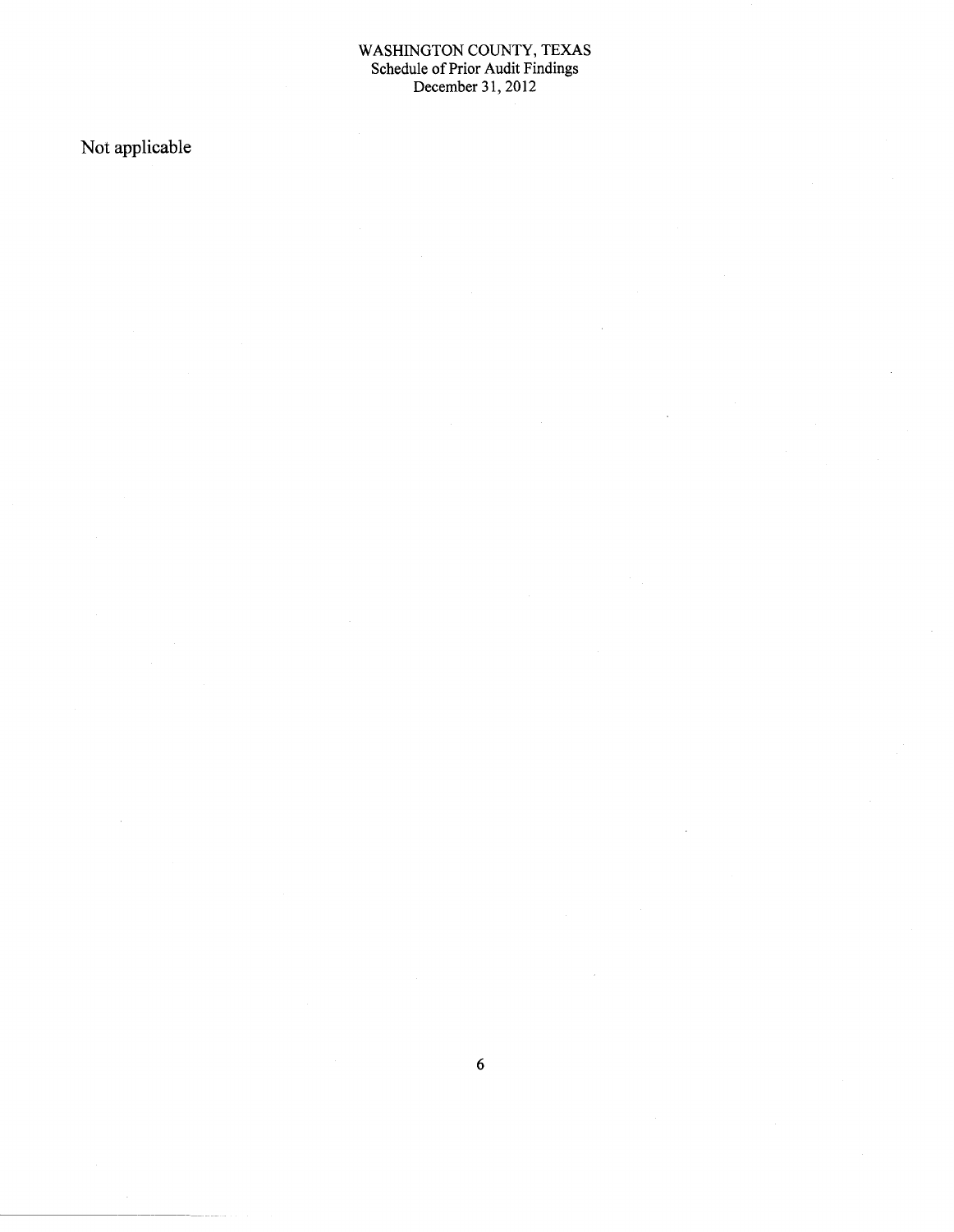#### WASHINGTON COUNTY, TEXAS Schedule of Prior Audit Findings December 31, 2012

Not applicable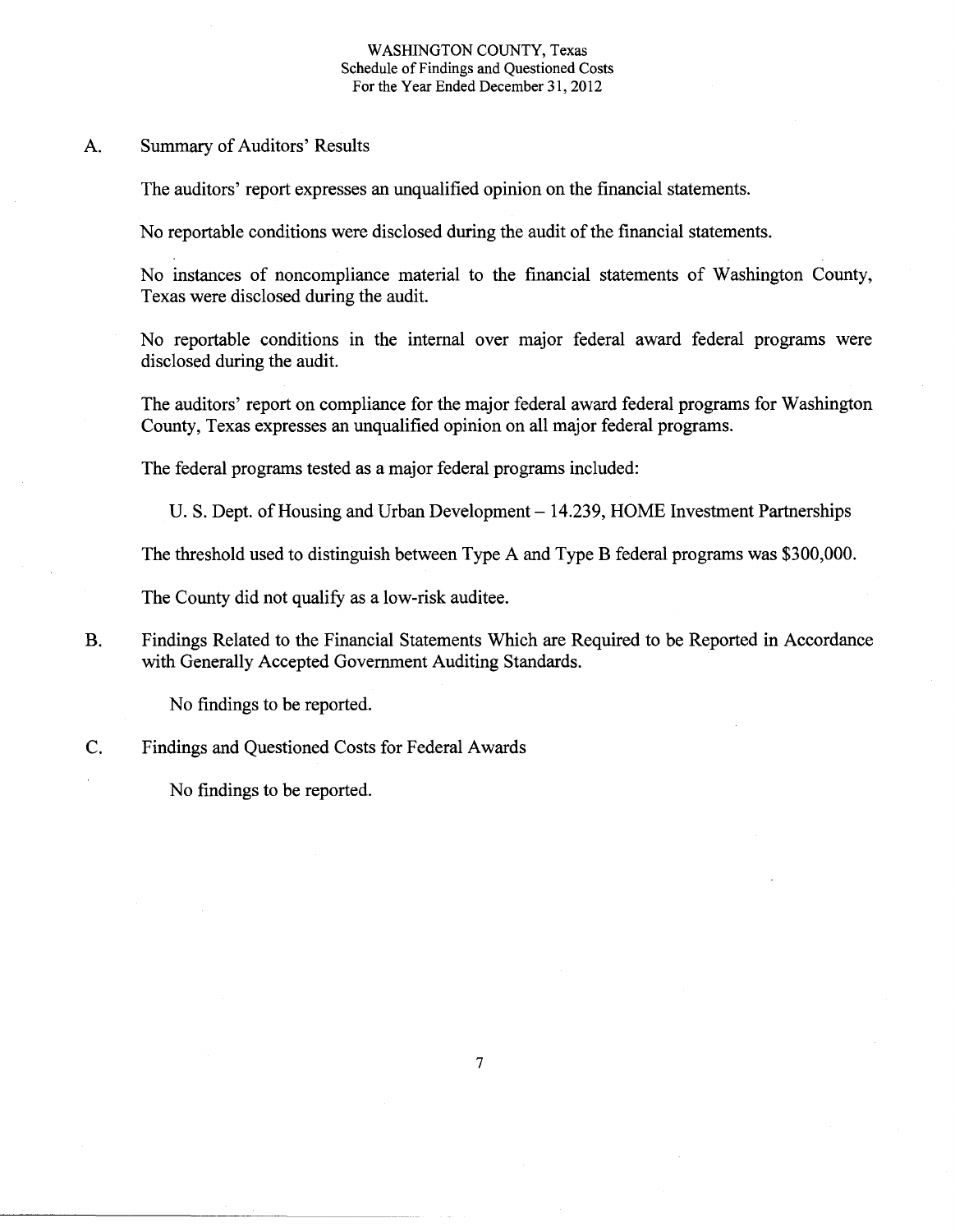#### WASHINGTON COUNTY, Texas Schedule of Findings and Questioned Costs For the Year Ended December 31, 2012

A. Summary of Auditors' Results

The auditors' report expresses an unqualified opinion on the financial statements.

No reportable conditions were disclosed during the audit of the financial statements.

No instances of noncompliance material to the financial statements of Washington County, Texas were disclosed during the audit.

No reportable conditions in the internal over major federal award federal programs were disclosed during the audit.

The auditors' report on compliance for the major federal award federal programs for Washington County, Texas expresses an unqualified opinion on all major federal programs.

The federal programs tested as a major federal programs included:

U. S. Dept. of Housing and Urban Development – 14.239, HOME Investment Partnerships

The threshold used to distinguish between Type A and Type B federal programs was \$300,000.

The County did not qualify as a low-risk auditee.

B. Findings Related to the Financial Statements Which are Required to be Reported in Accordance with Generally Accepted Government Auditing Standards.

No findings to be reported.

C. Findings and Questioned Costs for Federal Awards

No findings to be reported.

7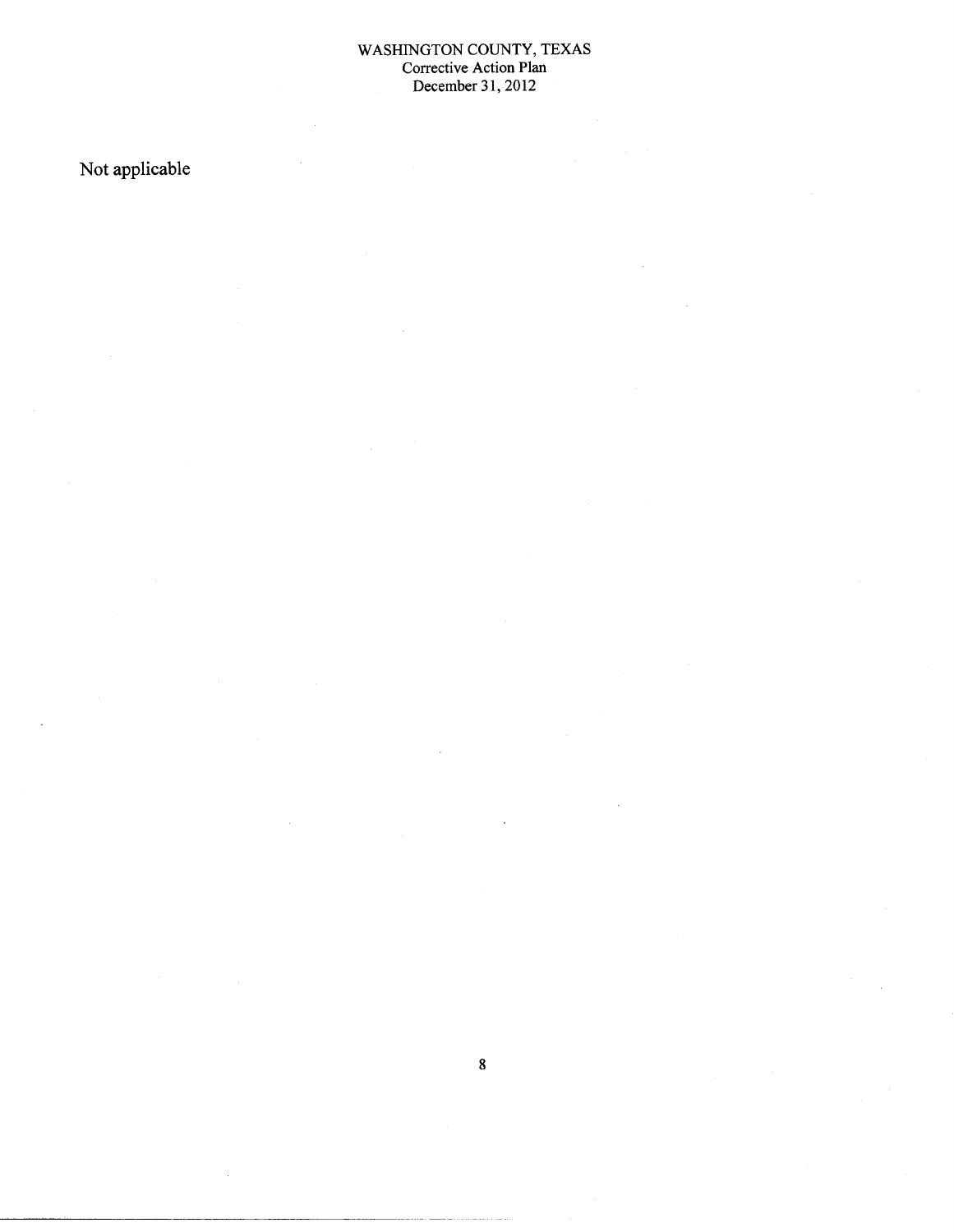#### WASHINGTON COUNTY, TEXAS Corrective Action Plan December 31, 2012

Not applicable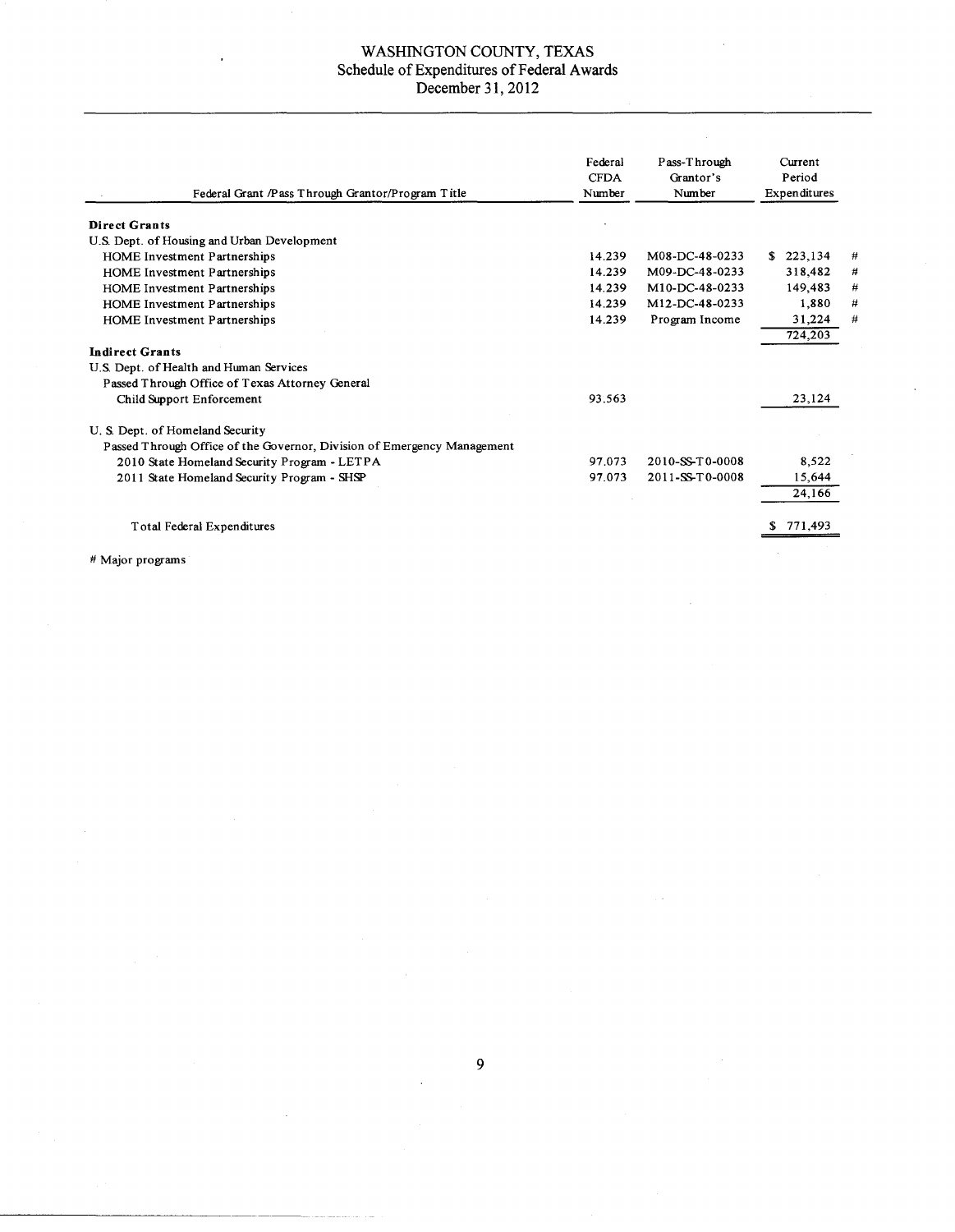#### WASHINGTON COUNTY, TEXAS Schedule of Expenditures of Federal Awards December 31, 2012

| Federal Grant /Pass Through Grantor/Program Title                       | Federal<br><b>CFDA</b><br>Number | Pass-Through<br>Grantor's<br>Number | Current<br>Period<br>Expenditures |   |
|-------------------------------------------------------------------------|----------------------------------|-------------------------------------|-----------------------------------|---|
|                                                                         |                                  |                                     |                                   |   |
| <b>Direct Grants</b>                                                    |                                  |                                     |                                   |   |
| U.S. Dept. of Housing and Urban Development                             |                                  |                                     |                                   |   |
| <b>HOME</b> Investment Partnerships                                     | 14.239                           | M08-DC-48-0233                      | 223,134<br>S.                     | # |
| HOME Investment Partnerships                                            | 14.239                           | M09-DC-48-0233                      | 318,482                           | # |
| HOME Investment Partnerships                                            | 14.239                           | M10-DC-48-0233                      | 149,483                           | # |
| HOME Investment Partnerships                                            | 14.239                           | M12-DC-48-0233                      | 1.880                             | # |
| <b>HOME</b> Investment Partnerships                                     | 14.239                           | Program Income                      | 31,224                            | # |
|                                                                         |                                  |                                     | 724,203                           |   |
| <b>Indirect Grants</b>                                                  |                                  |                                     |                                   |   |
| U.S. Dept. of Health and Human Services                                 |                                  |                                     |                                   |   |
| Passed Through Office of Texas Attorney General                         |                                  |                                     |                                   |   |
| Child Support Enforcement                                               | 93:563                           |                                     | 23,124                            |   |
| U. S. Dept. of Homeland Security                                        |                                  |                                     |                                   |   |
| Passed Through Office of the Governor, Division of Emergency Management |                                  |                                     |                                   |   |
| 2010 State Homeland Security Program - LETPA                            | 97.073                           | 2010-SS-T0-0008                     | 8.522                             |   |
| 2011 State Homeland Security Program - SHSP                             | 97.073                           | 2011-SS-T0-0008                     | 15,644                            |   |
|                                                                         |                                  |                                     | 24,166                            |   |
| Total Federal Expenditures                                              |                                  |                                     | - 771.493                         |   |
| # Major programs                                                        |                                  |                                     |                                   |   |